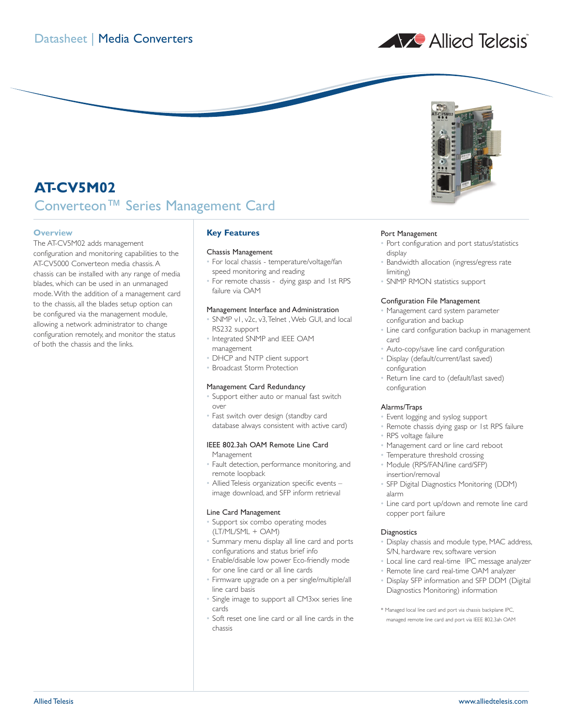



# **AT-CV5M02** Converteon™ Series Management Card

# **Overview**

The AT-CV5M02 adds management configuration and monitoring capabilities to the AT-CV5000 Converteon media chassis. A chassis can be installed with any range of media blades, which can be used in an unmanaged mode.With the addition of a management card to the chassis, all the blades setup option can be configured via the management module, allowing a network administrator to change configuration remotely, and monitor the status of both the chassis and the links.

# **Key Features**

## Chassis Management

- For local chassis temperature/voltage/fan speed monitoring and reading
- For remote chassis dying gasp and 1st RPS failure via OAM

#### Management Interface and Administration

- SNMP v1, v2c, v3,Telnet ,Web GUI, and local RS232 support
- Integrated SNMP and IEEE OAM management
- DHCP and NTP client support
- Broadcast Storm Protection

# Management Card Redundancy

- Support either auto or manual fast switch over
- Fast switch over design (standby card database always consistent with active card)

# IEEE 802.3ah OAM Remote Line Card

Management

- Fault detection, performance monitoring, and remote loopback
- Allied Telesis organization specific events image download, and SFP inform retrieval

## Line Card Management

- Support six combo operating modes (LT/ML/SML + OAM)
- Summary menu display all line card and ports configurations and status brief info
- Enable/disable low power Eco-friendly mode for one line card or all line cards
- Firmware upgrade on a per single/multiple/all line card basis
- Single image to support all CM3xx series line cards
- Soft reset one line card or all line cards in the chassis

## Port Management

- Port configuration and port status/statistics display
- Bandwidth allocation (ingress/egress rate limiting)
- SNMP RMON statistics support

## Configuration File Management

- Management card system parameter configuration and backup
- Line card configuration backup in management card
- Auto-copy/save line card configuration
- Display (default/current/last saved) configuration
- Return line card to (default/last saved) configuration

## Alarms/Traps

- Event logging and syslog support
- Remote chassis dying gasp or 1st RPS failure
- RPS voltage failure
- Management card or line card reboot
- Temperature threshold crossing
- Module (RPS/FAN/line card/SFP) insertion/removal
- SFP Digital Diagnostics Monitoring (DDM) alarm
- Line card port up/down and remote line card copper port failure

## **Diagnostics**

- Display chassis and module type, MAC address, S/N, hardware rev, software version
- Local line card real-time IPC message analyzer
- Remote line card real-time OAM analyzer
- Display SFP information and SFP DDM (Digital Diagnostics Monitoring) information
- \* Managed local line card and port via chassis backplane IPC, managed remote line card and port via IEEE 802.3ah OAM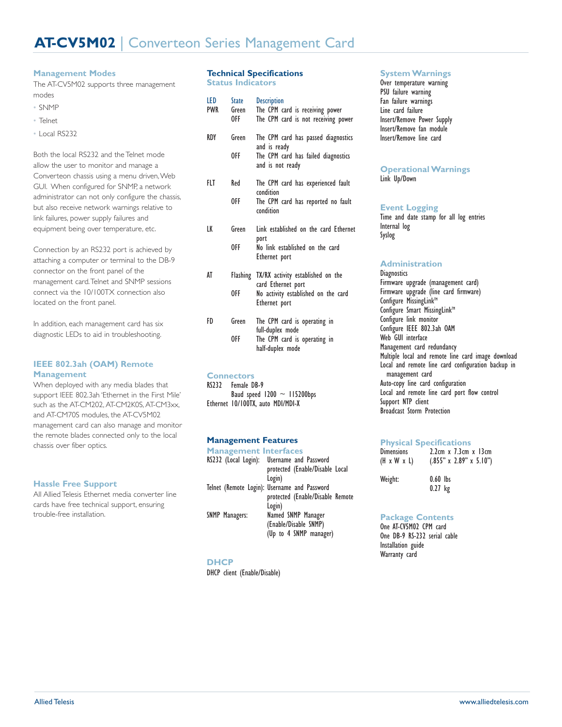# **Management Modes**

The AT-CV5M02 supports three management modes

- SNMP
- Telnet
- Local RS232

Both the local RS232 and the Telnet mode allow the user to monitor and manage a Converteon chassis using a menu driven,Web GUI. When configured for SNMP, a network administrator can not only configure the chassis, but also receive network warnings relative to link failures, power supply failures and equipment being over temperature, etc.

Connection by an RS232 port is achieved by attaching a computer or terminal to the DB-9 connector on the front panel of the management card.Telnet and SNMP sessions connect via the 10/100TX connection also located on the front panel.

In addition, each management card has six diagnostic LEDs to aid in troubleshooting.

# **IEEE 802.3ah (OAM) Remote Management**

When deployed with any media blades that support IEEE 802.3ah 'Ethernet in the First Mile' such as the AT-CM202, AT-CM2K0S, AT-CM3xx, and AT-CM70S modules, the AT-CV5M02 management card can also manage and monitor the remote blades connected only to the local chassis over fiber optics.

# **Hassle Free Support**

All Allied Telesis Ethernet media converter line cards have free technical support, ensuring trouble-free installation.

# **Technical Specifications**

**Status Indicators**

| LED<br><b>PWR</b> | <b>State</b><br>Green<br>0FF - | <b>Description</b><br>The CPM card is receiving power<br>The CPM card is not receiving power |
|-------------------|--------------------------------|----------------------------------------------------------------------------------------------|
| RDY               | Green                          | The CPM card has passed diagnostics<br>and is ready                                          |
|                   | 0FF                            | The CPM card has failed diagnostics<br>and is not ready                                      |
| FLT               | Red                            | The CPM card has experienced fault<br>condition                                              |
|                   | 0FF.                           | The CPM card has reported no fault<br>condition                                              |
| LK                | Green                          | Link established on the card Ethernet<br>port                                                |
|                   | 0FF                            | No link established on the card<br>Ethernet port                                             |
| AT                | Flashing                       | TX/RX activity established on the<br>card Ethernet port                                      |
|                   | 0FF                            | No activity established on the card<br>Ethernet port                                         |
| FD                | Green                          | The CPM card is operating in<br>full-duplex mode                                             |
|                   | 0FF                            | The CPM card is operating in<br>half-duplex mode                                             |
|                   | <b>Connectors</b>              |                                                                                              |
|                   |                                |                                                                                              |

RS232 Female DB-9 Baud speed  $1200 \sim 115200$ bps Ethernet 10/100TX, auto MDI/MDI-X

# **Management Features**

| <b>Management Interfaces</b> |                                                                                            |
|------------------------------|--------------------------------------------------------------------------------------------|
|                              | RS232 (Local Login): Username and Password<br>protected (Enable/Disable Local<br>Login)    |
|                              | Telnet (Remote Login): Username and Password<br>protected (Enable/Disable Remote<br>Login) |
| <b>SNMP Managers:</b>        | Named SNMP Manager<br>(Enable/Disable SNMP)<br>(Up to 4 SNMP manager)                      |

## **DHCP**

DHCP client (Enable/Disable)

# **System Warnings**

Over temperature warning PSU failure warning Fan failure warnings Line card failure Insert/Remove Power Supply Insert/Remove fan module Insert/Remove line card

#### **Operational Warnings** Link Up/Down

## **Event Logging**

Time and date stamp for all log entries Internal log Syslog

## **Administration**

**Diagnostics** Firmware upgrade (management card) Firmware upgrade (line card firmware) Configure MissingLink<sup>™</sup> Configure Smart MissingLink<sup>™</sup> Configure link monitor Configure IEEE 802.3ah OAM Web GUI interface Management card redundancy Multiple local and remote line card image download Local and remote line card configuration backup in management card Auto-copy line card configuration Local and remote line card port flow control Support NTP client Broadcast Storm Protection

## **Physical Specifications**

| <b>Dimensions</b> | $2.2cm \times 7.3cm \times 13cm$    |
|-------------------|-------------------------------------|
| (H x W x L)       | $(.855" \times 2.89" \times 5.10")$ |
| Weight:           | $0.60$ lbs                          |

0.27 kg

# **Package Contents**

One AT-CV5M02 CPM card One DB-9 RS-232 serial cable Installation guide Warranty card